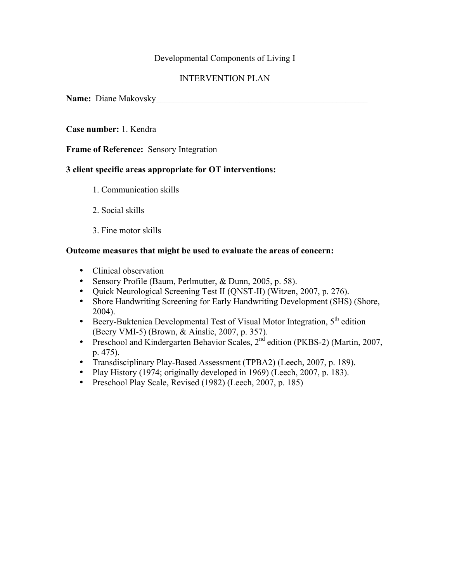## Developmental Components of Living I

# INTERVENTION PLAN

**Name:** Diane Makovsky\_\_\_\_\_\_\_\_\_\_\_\_\_\_\_\_\_\_\_\_\_\_\_\_\_\_\_\_\_\_\_\_\_\_\_\_\_\_\_\_\_\_\_\_\_\_\_\_

### **Case number:** 1. Kendra

**Frame of Reference:** Sensory Integration

### **3 client specific areas appropriate for OT interventions:**

- 1. Communication skills
- 2. Social skills
- 3. Fine motor skills

#### **Outcome measures that might be used to evaluate the areas of concern:**

- Clinical observation
- Sensory Profile (Baum, Perlmutter, & Dunn, 2005, p. 58).
- Quick Neurological Screening Test II (QNST-II) (Witzen, 2007, p. 276).
- Shore Handwriting Screening for Early Handwriting Development (SHS) (Shore, 2004).
- Beery-Buktenica Developmental Test of Visual Motor Integration,  $5<sup>th</sup>$  edition (Beery VMI-5) (Brown, & Ainslie, 2007, p. 357).
- Preschool and Kindergarten Behavior Scales, 2<sup>nd</sup> edition (PKBS-2) (Martin, 2007, p. 475).
- Transdisciplinary Play-Based Assessment (TPBA2) (Leech, 2007, p. 189).
- Play History (1974; originally developed in 1969) (Leech, 2007, p. 183).
- Preschool Play Scale, Revised (1982) (Leech, 2007, p. 185)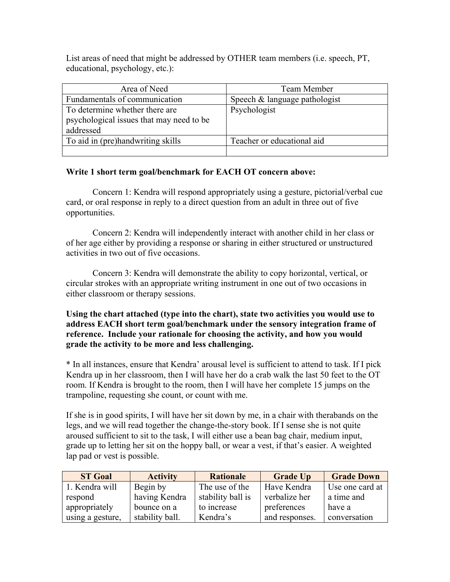List areas of need that might be addressed by OTHER team members (i.e. speech, PT, educational, psychology, etc.):

| Area of Need                             | Team Member                   |
|------------------------------------------|-------------------------------|
| Fundamentals of communication            | Speech & language pathologist |
| To determine whether there are           | Psychologist                  |
| psychological issues that may need to be |                               |
| addressed                                |                               |
| To aid in (pre)handwriting skills        | Teacher or educational aid    |
|                                          |                               |

### **Write 1 short term goal/benchmark for EACH OT concern above:**

Concern 1: Kendra will respond appropriately using a gesture, pictorial/verbal cue card, or oral response in reply to a direct question from an adult in three out of five opportunities.

Concern 2: Kendra will independently interact with another child in her class or of her age either by providing a response or sharing in either structured or unstructured activities in two out of five occasions.

Concern 3: Kendra will demonstrate the ability to copy horizontal, vertical, or circular strokes with an appropriate writing instrument in one out of two occasions in either classroom or therapy sessions.

**Using the chart attached (type into the chart), state two activities you would use to address EACH short term goal/benchmark under the sensory integration frame of reference. Include your rationale for choosing the activity, and how you would grade the activity to be more and less challenging.**

\* In all instances, ensure that Kendra' arousal level is sufficient to attend to task. If I pick Kendra up in her classroom, then I will have her do a crab walk the last 50 feet to the OT room. If Kendra is brought to the room, then I will have her complete 15 jumps on the trampoline, requesting she count, or count with me.

If she is in good spirits, I will have her sit down by me, in a chair with therabands on the legs, and we will read together the change-the-story book. If I sense she is not quite aroused sufficient to sit to the task, I will either use a bean bag chair, medium input, grade up to letting her sit on the hoppy ball, or wear a vest, if that's easier. A weighted lap pad or vest is possible.

| <b>ST Goal</b>   | <b>Activity</b> | <b>Rationale</b>  | <b>Grade Up</b> | <b>Grade Down</b> |
|------------------|-----------------|-------------------|-----------------|-------------------|
| 1. Kendra will   | Begin by        | The use of the    | Have Kendra     | Use one card at   |
| respond          | having Kendra   | stability ball is | verbalize her   | a time and        |
| appropriately    | bounce on a     | to increase       | preferences     | have a            |
| using a gesture, | stability ball. | Kendra's          | and responses.  | conversation      |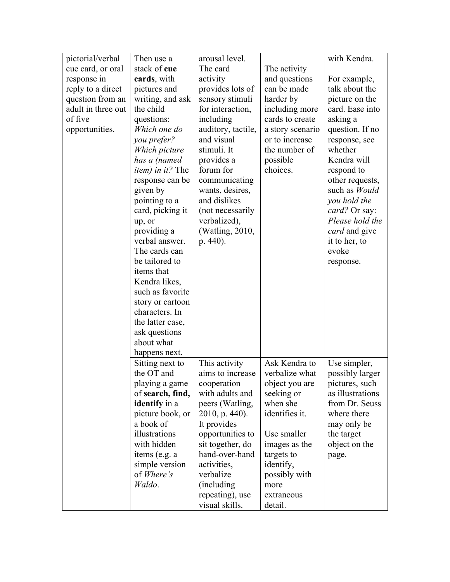| pictorial/verbal   | Then use a                         | arousal level.     |                  | with Kendra.         |
|--------------------|------------------------------------|--------------------|------------------|----------------------|
| cue card, or oral  | stack of cue                       | The card           | The activity     |                      |
| response in        | cards, with                        | activity           | and questions    | For example,         |
| reply to a direct  | pictures and                       | provides lots of   | can be made      | talk about the       |
| question from an   | writing, and ask                   | sensory stimuli    | harder by        | picture on the       |
| adult in three out | the child                          | for interaction,   | including more   | card. Ease into      |
| of five            | questions:                         | including          | cards to create  | asking a             |
| opportunities.     | Which one do                       | auditory, tactile, | a story scenario | question. If no      |
|                    | you prefer?                        | and visual         | or to increase   | response, see        |
|                    | Which picture                      | stimuli. It        | the number of    | whether              |
|                    | has a (named                       | provides a         | possible         | Kendra will          |
|                    | <i>item</i> ) in it? The           | forum for          | choices.         | respond to           |
|                    | response can be                    | communicating      |                  | other requests,      |
|                    | given by                           | wants, desires,    |                  | such as Would        |
|                    | pointing to a                      | and dislikes       |                  | you hold the         |
|                    | card, picking it                   | (not necessarily   |                  | card? Or say:        |
|                    | up, or                             | verbalized),       |                  | Please hold the      |
|                    | providing a                        | (Watling, 2010,    |                  | <i>card</i> and give |
|                    | verbal answer.                     | p. 440).           |                  | it to her, to        |
|                    | The cards can                      |                    |                  | evoke                |
|                    | be tailored to                     |                    |                  | response.            |
|                    | items that                         |                    |                  |                      |
|                    | Kendra likes,                      |                    |                  |                      |
|                    | such as favorite                   |                    |                  |                      |
|                    | story or cartoon<br>characters. In |                    |                  |                      |
|                    |                                    |                    |                  |                      |
|                    | the latter case,<br>ask questions  |                    |                  |                      |
|                    | about what                         |                    |                  |                      |
|                    | happens next.                      |                    |                  |                      |
|                    | Sitting next to                    | This activity      | Ask Kendra to    | Use simpler,         |
|                    | the OT and                         | aims to increase   | verbalize what   | possibly larger      |
|                    | playing a game                     | cooperation        | object you are   | pictures, such       |
|                    | of search, find,                   | with adults and    | seeking or       | as illustrations     |
|                    | identify in a                      | peers (Watling,    | when she         | from Dr. Seuss       |
|                    | picture book, or                   | $2010$ , p. 440).  | identifies it.   | where there          |
|                    | a book of                          | It provides        |                  | may only be          |
|                    | illustrations                      | opportunities to   | Use smaller      | the target           |
|                    | with hidden                        | sit together, do   | images as the    | object on the        |
|                    | items (e.g. a                      | hand-over-hand     | targets to       | page.                |
|                    | simple version                     | activities,        | identify,        |                      |
|                    | of Where's                         | verbalize          | possibly with    |                      |
|                    | Waldo.                             | (including)        | more             |                      |
|                    |                                    | repeating), use    | extraneous       |                      |
|                    |                                    | visual skills.     | detail.          |                      |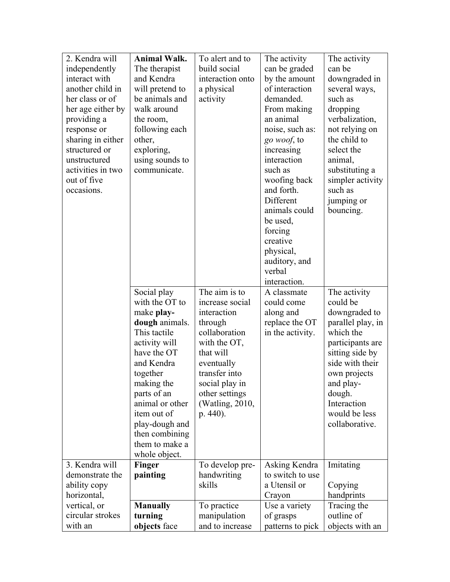| 2. Kendra will    | <b>Animal Walk.</b> | To alert and to  | The activity            | The activity      |
|-------------------|---------------------|------------------|-------------------------|-------------------|
| independently     | The therapist       | build social     | can be graded           | can be            |
| interact with     | and Kendra          | interaction onto | by the amount           | downgraded in     |
| another child in  | will pretend to     | a physical       | of interaction          | several ways,     |
| her class or of   | be animals and      | activity         | demanded.               | such as           |
| her age either by | walk around         |                  | From making             | dropping          |
| providing a       | the room,           |                  | an animal               | verbalization,    |
| response or       | following each      |                  | noise, such as:         | not relying on    |
| sharing in either | other,              |                  | go woof, to             | the child to      |
| structured or     | exploring,          |                  | increasing              | select the        |
| unstructured      | using sounds to     |                  | interaction             | animal,           |
| activities in two | communicate.        |                  | such as                 | substituting a    |
| out of five       |                     |                  | woofing back            | simpler activity  |
| occasions.        |                     |                  | and forth.              | such as           |
|                   |                     |                  | Different               | jumping or        |
|                   |                     |                  | animals could           | bouncing.         |
|                   |                     |                  | be used,                |                   |
|                   |                     |                  | forcing                 |                   |
|                   |                     |                  | creative                |                   |
|                   |                     |                  | physical,               |                   |
|                   |                     |                  | auditory, and<br>verbal |                   |
|                   |                     |                  | interaction.            |                   |
|                   | Social play         | The aim is to    | A classmate             | The activity      |
|                   | with the OT to      | increase social  | could come              | could be          |
|                   | make play-          | interaction      | along and               | downgraded to     |
|                   | dough animals.      | through          | replace the OT          | parallel play, in |
|                   | This tactile        | collaboration    | in the activity.        | which the         |
|                   | activity will       | with the OT,     |                         | participants are  |
|                   | have the OT         | that will        |                         | sitting side by   |
|                   | and Kendra          | eventually       |                         | side with their   |
|                   | together            | transfer into    |                         | own projects      |
|                   | making the          | social play in   |                         | and play-         |
|                   | parts of an         | other settings   |                         | dough.            |
|                   | animal or other     | (Watling, 2010,  |                         | Interaction       |
|                   | item out of         | p. 440).         |                         | would be less     |
|                   | play-dough and      |                  |                         | collaborative.    |
|                   | then combining      |                  |                         |                   |
|                   | them to make a      |                  |                         |                   |
|                   | whole object.       |                  |                         |                   |
| 3. Kendra will    | Finger              | To develop pre-  | Asking Kendra           | Imitating         |
| demonstrate the   | painting            | handwriting      | to switch to use        |                   |
| ability copy      |                     | skills           | a Utensil or            | Copying           |
| horizontal,       |                     |                  | Crayon                  | handprints        |
| vertical, or      | <b>Manually</b>     | To practice      | Use a variety           | Tracing the       |
| circular strokes  | turning             | manipulation     | of grasps               | outline of        |
| with an           | objects face        | and to increase  | patterns to pick        | objects with an   |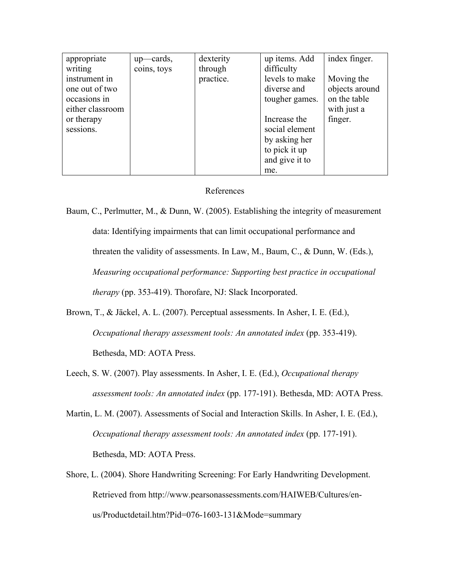| appropriate      | up—cards,   | dexterity | up items. Add  | index finger.  |
|------------------|-------------|-----------|----------------|----------------|
| writing          | coins, toys | through   | difficulty     |                |
| instrument in    |             | practice. | levels to make | Moving the     |
| one out of two   |             |           | diverse and    | objects around |
| occasions in     |             |           | tougher games. | on the table   |
| either classroom |             |           |                | with just a    |
| or therapy       |             |           | Increase the   | finger.        |
| sessions.        |             |           | social element |                |
|                  |             |           | by asking her  |                |
|                  |             |           | to pick it up  |                |
|                  |             |           | and give it to |                |
|                  |             |           | me.            |                |

#### References

Baum, C., Perlmutter, M., & Dunn, W. (2005). Establishing the integrity of measurement data: Identifying impairments that can limit occupational performance and threaten the validity of assessments. In Law, M., Baum, C., & Dunn, W. (Eds.), *Measuring occupational performance: Supporting best practice in occupational therapy* (pp. 353-419). Thorofare, NJ: Slack Incorporated.

- Brown, T., & Jäckel, A. L. (2007). Perceptual assessments. In Asher, I. E. (Ed.), *Occupational therapy assessment tools: An annotated index* (pp. 353-419). Bethesda, MD: AOTA Press.
- Leech, S. W. (2007). Play assessments. In Asher, I. E. (Ed.), *Occupational therapy assessment tools: An annotated index* (pp. 177-191). Bethesda, MD: AOTA Press.
- Martin, L. M. (2007). Assessments of Social and Interaction Skills. In Asher, I. E. (Ed.), *Occupational therapy assessment tools: An annotated index* (pp. 177-191). Bethesda, MD: AOTA Press.
- Shore, L. (2004). Shore Handwriting Screening: For Early Handwriting Development. Retrieved from http://www.pearsonassessments.com/HAIWEB/Cultures/enus/Productdetail.htm?Pid=076-1603-131&Mode=summary